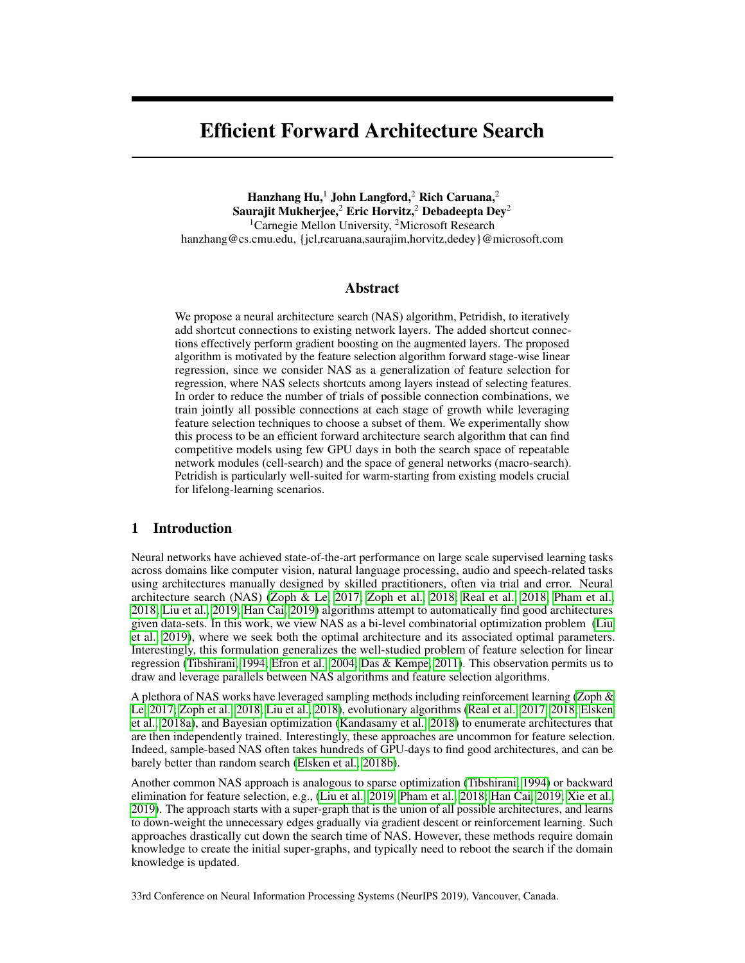# Efficient Forward Architecture Search

Hanzhang Hu,<sup>1</sup> John Langford,<sup>2</sup> Rich Caruana,<sup>2</sup> Saurajit Mukherjee,<sup>2</sup> Eric Horvitz,<sup>2</sup> Debadeepta Dey<sup>2</sup> <sup>1</sup>Carnegie Mellon University, <sup>2</sup>Microsoft Research hanzhang@cs.cmu.edu, {jcl,rcaruana,saurajim,horvitz,dedey}@microsoft.com

# Abstract

We propose a neural architecture search (NAS) algorithm, Petridish, to iteratively add shortcut connections to existing network layers. The added shortcut connections effectively perform gradient boosting on the augmented layers. The proposed algorithm is motivated by the feature selection algorithm forward stage-wise linear regression, since we consider NAS as a generalization of feature selection for regression, where NAS selects shortcuts among layers instead of selecting features. In order to reduce the number of trials of possible connection combinations, we train jointly all possible connections at each stage of growth while leveraging feature selection techniques to choose a subset of them. We experimentally show this process to be an efficient forward architecture search algorithm that can find competitive models using few GPU days in both the search space of repeatable network modules (cell-search) and the space of general networks (macro-search). Petridish is particularly well-suited for warm-starting from existing models crucial for lifelong-learning scenarios.

# 1 Introduction

Neural networks have achieved state-of-the-art performance on large scale supervised learning tasks across domains like computer vision, natural language processing, audio and speech-related tasks using architectures manually designed by skilled practitioners, often via trial and error. Neural architecture search (NAS) (Zoph & Le, 2017; Zoph et al., 2018; Real et al., 2018; Pham et al., 2018; Liu et al., 2019; Han Cai, 2019) algorithms attempt to automatically find good architectures given data-sets. In this work, we view NAS as a bi-level combinatorial optimization problem (Liu et al., 2019), where we seek both the optimal architecture and its associated optimal parameters. Interestingly, this formulation generalizes the well-studied problem of feature selection for linear regression (Tibshirani, 1994; Efron et al., 2004; Das & Kempe, 2011). This observation permits us to draw and leverage parallels between NAS algorithms and feature selection algorithms.

A plethora of NAS works have leveraged sampling methods including reinforcement learning (Zoph & Le, 2017; Zoph et al., 2018; Liu et al., 2018), evolutionary algorithms (Real et al., 2017, 2018; Elsken et al., 2018a), and Bayesian optimization (Kandasamy et al., 2018) to enumerate architectures that are then independently trained. Interestingly, these approaches are uncommon for feature selection. Indeed, sample-based NAS often takes hundreds of GPU-days to find good architectures, and can be barely better than random search (Elsken et al., 2018b).

Another common NAS approach is analogous to sparse optimization (Tibshirani, 1994) or backward elimination for feature selection, e.g., (Liu et al., 2019; Pham et al., 2018; Han Cai, 2019; Xie et al., 2019). The approach starts with a super-graph that is the union of all possible architectures, and learns to down-weight the unnecessary edges gradually via gradient descent or reinforcement learning. Such approaches drastically cut down the search time of NAS. However, these methods require domain knowledge to create the initial super-graphs, and typically need to reboot the search if the domain knowledge is updated.

33rd Conference on Neural Information Processing Systems (NeurIPS 2019), Vancouver, Canada.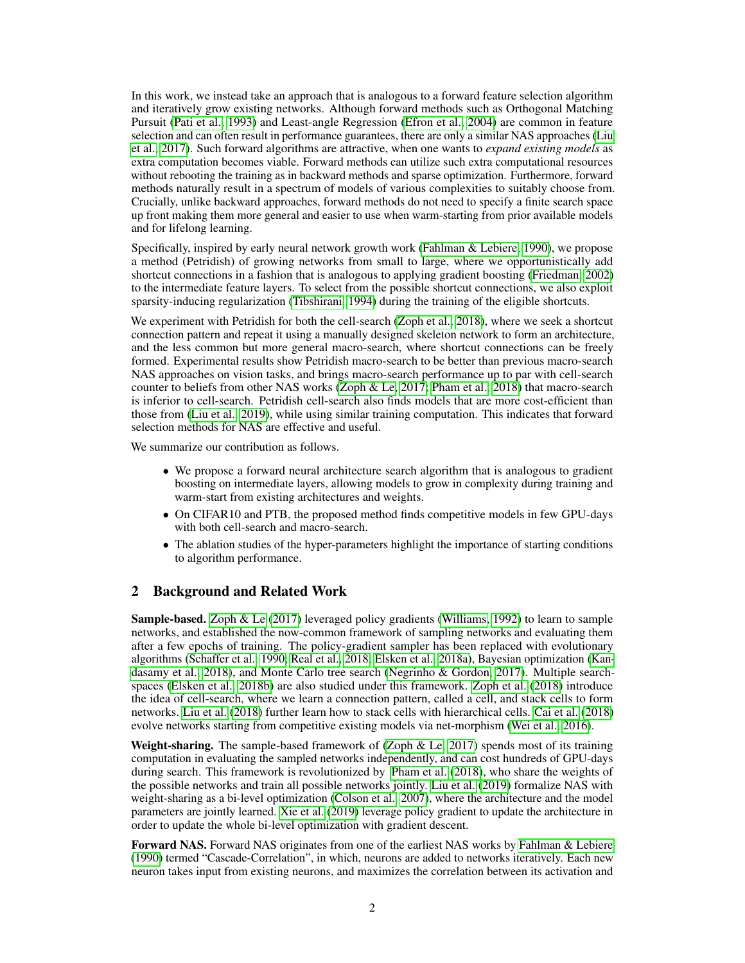In this work, we instead take an approach that is analogous to a forward feature selection algorithm and iteratively grow existing networks. Although forward methods such as Orthogonal Matching Pursuit (Pati et al., 1993) and Least-angle Regression (Efron et al., 2004) are common in feature selection and can often result in performance guarantees, there are only a similar NAS approaches (Liu et al., 2017). Such forward algorithms are attractive, when one wants to *expand existing models* as extra computation becomes viable. Forward methods can utilize such extra computational resources without rebooting the training as in backward methods and sparse optimization. Furthermore, forward methods naturally result in a spectrum of models of various complexities to suitably choose from. Crucially, unlike backward approaches, forward methods do not need to specify a finite search space up front making them more general and easier to use when warm-starting from prior available models and for lifelong learning.

Specifically, inspired by early neural network growth work (Fahlman & Lebiere, 1990), we propose a method (Petridish) of growing networks from small to large, where we opportunistically add shortcut connections in a fashion that is analogous to applying gradient boosting (Friedman, 2002) to the intermediate feature layers. To select from the possible shortcut connections, we also exploit sparsity-inducing regularization (Tibshirani, 1994) during the training of the eligible shortcuts.

We experiment with Petridish for both the cell-search (Zoph et al., 2018), where we seek a shortcut connection pattern and repeat it using a manually designed skeleton network to form an architecture, and the less common but more general macro-search, where shortcut connections can be freely formed. Experimental results show Petridish macro-search to be better than previous macro-search NAS approaches on vision tasks, and brings macro-search performance up to par with cell-search counter to beliefs from other NAS works (Zoph & Le, 2017; Pham et al., 2018) that macro-search is inferior to cell-search. Petridish cell-search also finds models that are more cost-efficient than those from (Liu et al., 2019), while using similar training computation. This indicates that forward selection methods for NAS are effective and useful.

We summarize our contribution as follows.

- We propose a forward neural architecture search algorithm that is analogous to gradient boosting on intermediate layers, allowing models to grow in complexity during training and warm-start from existing architectures and weights.
- On CIFAR10 and PTB, the proposed method finds competitive models in few GPU-days with both cell-search and macro-search.
- The ablation studies of the hyper-parameters highlight the importance of starting conditions to algorithm performance.

# 2 Background and Related Work

Sample-based. Zoph & Le (2017) leveraged policy gradients (Williams, 1992) to learn to sample networks, and established the now-common framework of sampling networks and evaluating them after a few epochs of training. The policy-gradient sampler has been replaced with evolutionary algorithms (Schaffer et al., 1990; Real et al., 2018; Elsken et al., 2018a), Bayesian optimization (Kandasamy et al., 2018), and Monte Carlo tree search (Negrinho & Gordon, 2017). Multiple searchspaces (Elsken et al., 2018b) are also studied under this framework. Zoph et al. (2018) introduce the idea of cell-search, where we learn a connection pattern, called a cell, and stack cells to form networks. Liu et al. (2018) further learn how to stack cells with hierarchical cells. Cai et al. (2018) evolve networks starting from competitive existing models via net-morphism (Wei et al., 2016).

**Weight-sharing.** The sample-based framework of (Zoph  $\&$  Le, 2017) spends most of its training computation in evaluating the sampled networks independently, and can cost hundreds of GPU-days during search. This framework is revolutionized by Pham et al. (2018), who share the weights of the possible networks and train all possible networks jointly. Liu et al. (2019) formalize NAS with weight-sharing as a bi-level optimization (Colson et al., 2007), where the architecture and the model parameters are jointly learned. Xie et al. (2019) leverage policy gradient to update the architecture in order to update the whole bi-level optimization with gradient descent.

Forward NAS. Forward NAS originates from one of the earliest NAS works by Fahlman & Lebiere (1990) termed "Cascade-Correlation", in which, neurons are added to networks iteratively. Each new neuron takes input from existing neurons, and maximizes the correlation between its activation and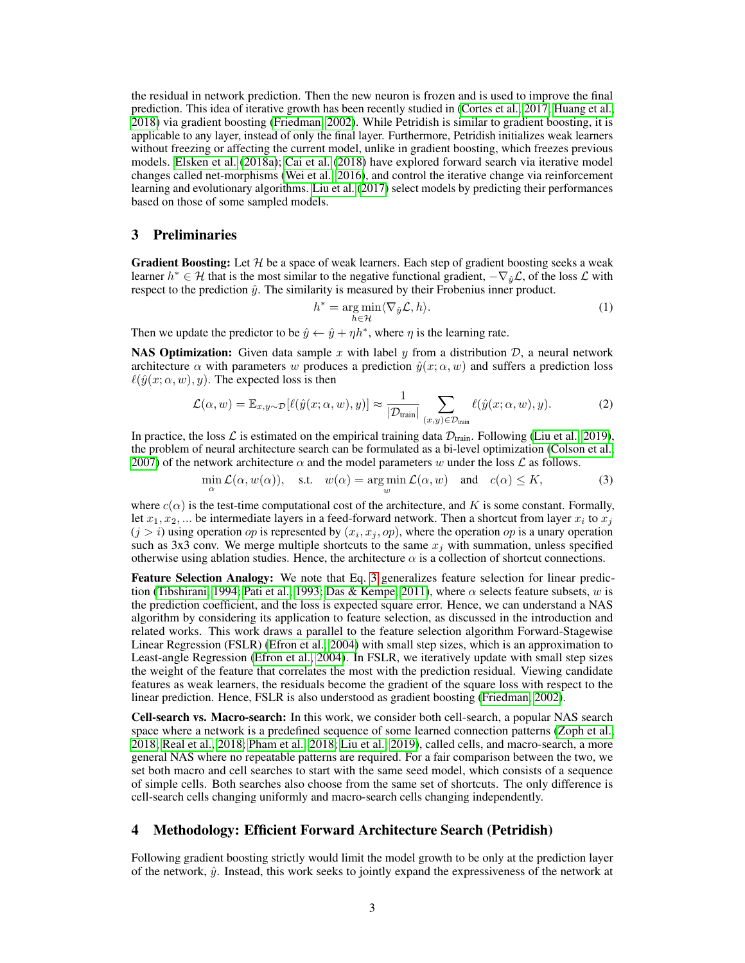the residual in network prediction. Then the new neuron is frozen and is used to improve the final prediction. This idea of iterative growth has been recently studied in (Cortes et al., 2017; Huang et al., 2018) via gradient boosting (Friedman, 2002). While Petridish is similar to gradient boosting, it is applicable to any layer, instead of only the final layer. Furthermore, Petridish initializes weak learners without freezing or affecting the current model, unlike in gradient boosting, which freezes previous models. Elsken et al. (2018a); Cai et al. (2018) have explored forward search via iterative model changes called net-morphisms (Wei et al., 2016), and control the iterative change via reinforcement learning and evolutionary algorithms. Liu et al. (2017) select models by predicting their performances based on those of some sampled models.

### 3 Preliminaries

**Gradient Boosting:** Let  $H$  be a space of weak learners. Each step of gradient boosting seeks a weak learner  $h^* \in H$  that is the most similar to the negative functional gradient,  $-\nabla_{\hat{y}} \mathcal{L}$ , of the loss  $\mathcal L$  with respect to the prediction  $\hat{y}$ . The similarity is measured by their Frobenius inner product.

$$
h^* = \underset{h \in \mathcal{H}}{\arg \min} \langle \nabla_{\hat{y}} \mathcal{L}, h \rangle.
$$
 (1)

Then we update the predictor to be  $\hat{y} \leftarrow \hat{y} + \eta h^*$ , where  $\eta$  is the learning rate.

**NAS Optimization:** Given data sample x with label y from a distribution  $D$ , a neural network architecture  $\alpha$  with parameters w produces a prediction  $\hat{y}(x; \alpha, w)$  and suffers a prediction loss  $\ell(\hat{y}(x; \alpha, w), y)$ . The expected loss is then

$$
\mathcal{L}(\alpha, w) = \mathbb{E}_{x, y \sim \mathcal{D}}[\ell(\hat{y}(x; \alpha, w), y)] \approx \frac{1}{|\mathcal{D}_{\text{train}}|} \sum_{(x, y) \in \mathcal{D}_{\text{train}}} \ell(\hat{y}(x; \alpha, w), y).
$$
 (2)

In practice, the loss L is estimated on the empirical training data  $\mathcal{D}_{\text{train}}$ . Following (Liu et al., 2019), the problem of neural architecture search can be formulated as a bi-level optimization (Colson et al., 2007) of the network architecture  $\alpha$  and the model parameters w under the loss  $\mathcal L$  as follows.

$$
\min_{\alpha} \mathcal{L}(\alpha, w(\alpha)), \quad \text{s.t.} \quad w(\alpha) = \operatorname*{arg\,min}_{w} \mathcal{L}(\alpha, w) \quad \text{and} \quad c(\alpha) \le K,\tag{3}
$$

where  $c(\alpha)$  is the test-time computational cost of the architecture, and K is some constant. Formally, let  $x_1, x_2, ...$  be intermediate layers in a feed-forward network. Then a shortcut from layer  $x_i$  to  $x_j$  $(j > i)$  using operation *op* is represented by  $(x_i, x_j, op)$ , where the operation *op* is a unary operation such as 3x3 conv. We merge multiple shortcuts to the same  $x_j$  with summation, unless specified otherwise using ablation studies. Hence, the architecture  $\alpha$  is a collection of shortcut connections.

Feature Selection Analogy: We note that Eq. 3 generalizes feature selection for linear prediction (Tibshirani, 1994; Pati et al., 1993; Das & Kempe, 2011), where  $\alpha$  selects feature subsets, w is the prediction coefficient, and the loss is expected square error. Hence, we can understand a NAS algorithm by considering its application to feature selection, as discussed in the introduction and related works. This work draws a parallel to the feature selection algorithm Forward-Stagewise Linear Regression (FSLR) (Efron et al., 2004) with small step sizes, which is an approximation to Least-angle Regression (Efron et al., 2004). In FSLR, we iteratively update with small step sizes the weight of the feature that correlates the most with the prediction residual. Viewing candidate features as weak learners, the residuals become the gradient of the square loss with respect to the linear prediction. Hence, FSLR is also understood as gradient boosting (Friedman, 2002).

Cell-search vs. Macro-search: In this work, we consider both cell-search, a popular NAS search space where a network is a predefined sequence of some learned connection patterns (Zoph et al., 2018; Real et al., 2018; Pham et al., 2018; Liu et al., 2019), called cells, and macro-search, a more general NAS where no repeatable patterns are required. For a fair comparison between the two, we set both macro and cell searches to start with the same seed model, which consists of a sequence of simple cells. Both searches also choose from the same set of shortcuts. The only difference is cell-search cells changing uniformly and macro-search cells changing independently.

### 4 Methodology: Efficient Forward Architecture Search (Petridish)

Following gradient boosting strictly would limit the model growth to be only at the prediction layer of the network,  $\hat{y}$ . Instead, this work seeks to jointly expand the expressiveness of the network at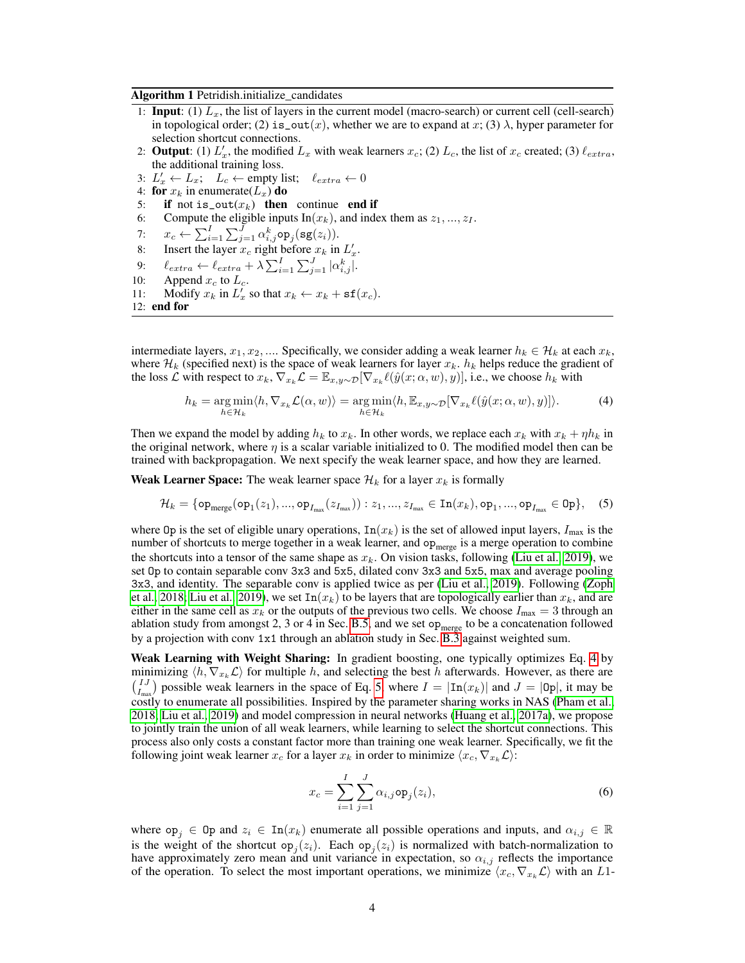Algorithm 1 Petridish.initialize candidates

- 1: **Input:** (1)  $L_x$ , the list of layers in the current model (macro-search) or current cell (cell-search) in topological order; (2) is\_out(x), whether we are to expand at x; (3)  $\lambda$ , hyper parameter for selection shortcut connections.
- 2: **Output**: (1)  $L'_x$ , the modified  $L_x$  with weak learners  $x_c$ ; (2)  $L_c$ , the list of  $x_c$  created; (3)  $\ell_{extra}$ , the additional training loss.
- 3:  $L'_x \leftarrow L_x$ ;  $L_c \leftarrow$  empty list;  $\ell_{extra} \leftarrow 0$
- 4: for  $x_k$  in enumerate( $L_x$ ) do
- 5: if not is\_out( $x_k$ ) then continue end if
- 6: Compute the eligible inputs  $\text{In}(x_k)$ , and index them as  $z_1, ..., z_I$ .
- 7:  $x_c \leftarrow \sum_{i=1}^{I}\sum_{j=1}^{J}\alpha_{i,j}^k$ op $_j(\mathbf{sg}(z_i)).$
- 8: Insert the layer  $x_c$  right before  $x_k$  in  $L'_x$ .
- 9:  $\ell_{extra} \leftarrow \ell_{extra} + \lambda \sum_{i=1}^{I} \sum_{j=1}^{J} |\alpha_{i,j}^{k}|.$
- 10: Append  $x_c$  to  $L_c$ .
- 11: Modify  $x_k$  in  $L'_x$  so that  $x_k \leftarrow x_k + \text{sf}(x_c)$ .
- 12: end for

intermediate layers,  $x_1, x_2, \dots$ . Specifically, we consider adding a weak learner  $h_k \in \mathcal{H}_k$  at each  $x_k$ , where  $\mathcal{H}_k$  (specified next) is the space of weak learners for layer  $x_k$ .  $h_k$  helps reduce the gradient of the loss L with respect to  $x_k$ ,  $\nabla_{x_k} L = \mathbb{E}_{x,y\sim\mathcal{D}}[\nabla_{x_k} \ell(\hat{y}(x;\alpha,w), y)]$ , i.e., we choose  $h_k$  with

$$
h_k = \underset{h \in \mathcal{H}_k}{\arg \min} \langle h, \nabla_{x_k} \mathcal{L}(\alpha, w) \rangle = \underset{h \in \mathcal{H}_k}{\arg \min} \langle h, \mathbb{E}_{x, y \sim \mathcal{D}}[\nabla_{x_k} \ell(\hat{y}(x; \alpha, w), y)] \rangle. \tag{4}
$$

Then we expand the model by adding  $h_k$  to  $x_k$ . In other words, we replace each  $x_k$  with  $x_k + \eta h_k$  in the original network, where  $\eta$  is a scalar variable initialized to 0. The modified model then can be trained with backpropagation. We next specify the weak learner space, and how they are learned.

**Weak Learner Space:** The weak learner space  $\mathcal{H}_k$  for a layer  $x_k$  is formally

$$
\mathcal{H}_k = \{ \mathsf{op}_{\sf merge}(\mathsf{op}_1(z_1),...,\mathsf{op}_{I_{\sf max}}(z_{I_{\sf max}})) : z_1,...,z_{I_{\sf max}} \in \mathtt{In}(x_k),\mathtt{op}_1,...,\mathtt{op}_{I_{\sf max}} \in \mathtt{Op} \}, \quad (5)
$$

where Op is the set of eligible unary operations,  $\text{In}(x_k)$  is the set of allowed input layers,  $I_{\text{max}}$  is the number of shortcuts to merge together in a weak learner, and op<sub>merge</sub> is a merge operation to combine the shortcuts into a tensor of the same shape as  $x_k$ . On vision tasks, following (Liu et al., 2019), we set Op to contain separable conv 3x3 and 5x5, dilated conv 3x3 and 5x5, max and average pooling 3x3, and identity. The separable conv is applied twice as per (Liu et al., 2019). Following (Zoph et al., 2018; Liu et al., 2019), we set  $\text{In}(x_k)$  to be layers that are topologically earlier than  $x_k$ , and are either in the same cell as  $x_k$  or the outputs of the previous two cells. We choose  $I_{\text{max}} = 3$  through an ablation study from amongst 2, 3 or 4 in Sec. B.5, and we set  $op<sub>merge</sub>$  to be a concatenation followed by a projection with conv 1x1 through an ablation study in Sec. B.3 against weighted sum.

Weak Learning with Weight Sharing: In gradient boosting, one typically optimizes Eq. 4 by minimizing  $\langle h, \nabla_{x_k} \mathcal{L} \rangle$  for multiple h, and selecting the best h afterwards. However, as there are  $\binom{IJ}{I_{\text{max}}}$  possible weak learners in the space of Eq. 5, where  $I = |\text{In}(x_k)|$  and  $J = |\text{Op}|$ , it may be costly to enumerate all possibilities. Inspired by the parameter sharing works in NAS (Pham et al., 2018; Liu et al., 2019) and model compression in neural networks (Huang et al., 2017a), we propose to jointly train the union of all weak learners, while learning to select the shortcut connections. This process also only costs a constant factor more than training one weak learner. Specifically, we fit the following joint weak learner  $x_c$  for a layer  $x_k$  in order to minimize  $\langle x_c, \nabla_{x_k} \mathcal{L} \rangle$ :

$$
x_c = \sum_{i=1}^{I} \sum_{j=1}^{J} \alpha_{i,j} \operatorname{op}_j(z_i), \tag{6}
$$

where  $op_i \in Op$  and  $z_i \in In(x_k)$  enumerate all possible operations and inputs, and  $\alpha_{i,j} \in \mathbb{R}$ is the weight of the shortcut op<sub>j</sub> $(z_i)$ . Each op<sub>j</sub> $(z_i)$  is normalized with batch-normalization to have approximately zero mean and unit variance in expectation, so  $\alpha_{i,j}$  reflects the importance of the operation. To select the most important operations, we minimize  $\langle x_c, \nabla_{x_k} \mathcal{L} \rangle$  with an L1-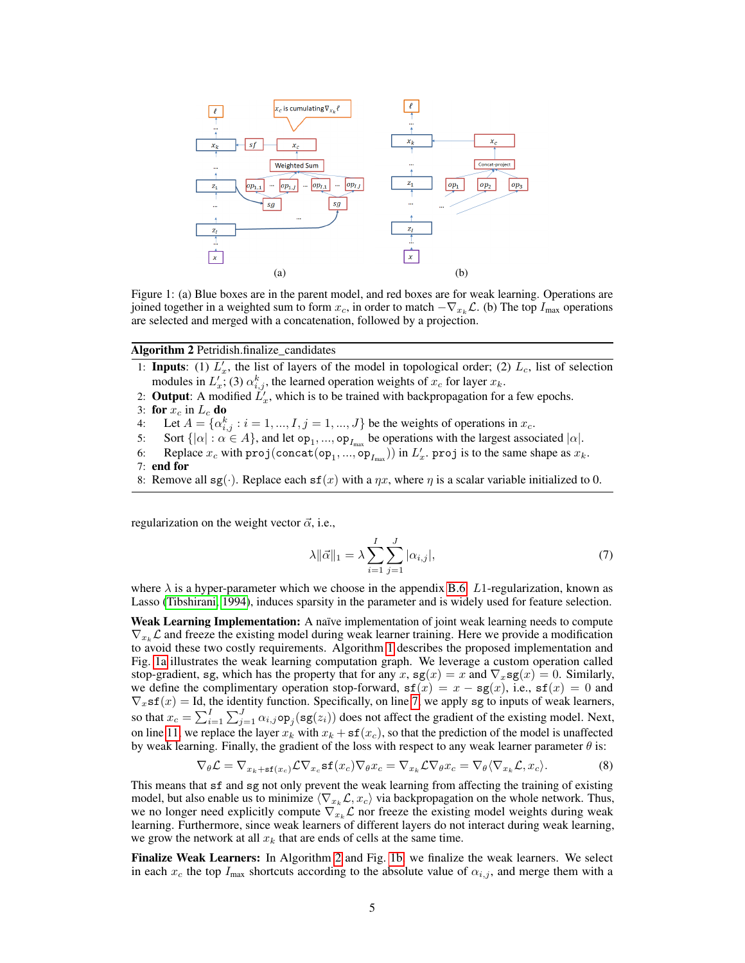

Figure 1: (a) Blue boxes are in the parent model, and red boxes are for weak learning. Operations are joined together in a weighted sum to form  $x_c$ , in order to match  $-\nabla_{x_k} \mathcal{L}$ . (b) The top  $I_{\text{max}}$  operations are selected and merged with a concatenation, followed by a projection.

Algorithm 2 Petridish.finalize candidates

- 1: **Inputs**: (1)  $L'_x$ , the list of layers of the model in topological order; (2)  $L_c$ , list of selection modules in  $L'_x$ ; (3)  $\alpha_{i,j}^k$ , the learned operation weights of  $x_c$  for layer  $x_k$ .
- 2: **Output**: A modified  $\tilde{L}'_x$ , which is to be trained with backpropagation for a few epochs.
- 3: for  $x_c$  in  $L_c$  do
- 4: Let  $A = \{ \alpha_{i,j}^k : i = 1, ..., I, j = 1, ..., J \}$  be the weights of operations in  $x_c$ .
- 5: Sort  $\{|\alpha| : \alpha \in A\}$ , and let  $op_1, ..., op_{I_{max}}$  be operations with the largest associated  $|\alpha|$ .
- 6: Replace  $x_c$  with  $\text{proj}(\text{concat}(op_1, ..., op_{I_{max}}))$  in  $L'_x$ .  $\text{proj}$  is to the same shape as  $x_k$ .
- 7: end for
- 8: Remove all  $sg(\cdot)$ . Replace each  $sf(x)$  with a  $\eta x$ , where  $\eta$  is a scalar variable initialized to 0.

regularization on the weight vector  $\vec{\alpha}$ , i.e.,

$$
\lambda \|\vec{\alpha}\|_1 = \lambda \sum_{i=1}^{I} \sum_{j=1}^{J} |\alpha_{i,j}|,\tag{7}
$$

where  $\lambda$  is a hyper-parameter which we choose in the appendix B.6. L1-regularization, known as Lasso (Tibshirani, 1994), induces sparsity in the parameter and is widely used for feature selection.

Weak Learning Implementation: A naïve implementation of joint weak learning needs to compute  $\nabla_{x_k} \mathcal{L}$  and freeze the existing model during weak learner training. Here we provide a modification to avoid these two costly requirements. Algorithm 1 describes the proposed implementation and Fig. 1a illustrates the weak learning computation graph. We leverage a custom operation called stop-gradient, sg, which has the property that for any x, sg(x) = x and  $\nabla_x$ sg(x) = 0. Similarly, we define the complimentary operation stop-forward,  $sf(x) = x - sg(x)$ , i.e.,  $sf(x) = 0$  and  $\nabla_x$ sf(x) = Id, the identity function. Specifically, on line 7, we apply sg to inputs of weak learners, so that  $x_c = \sum_{i=1}^{I} \sum_{j=1}^{J} \alpha_{i,j} \circ p_j(\text{sg}(z_i))$  does not affect the gradient of the existing model. Next, on line 11, we replace the layer  $x_k$  with  $x_k + sf(x_c)$ , so that the prediction of the model is unaffected by weak learning. Finally, the gradient of the loss with respect to any weak learner parameter  $\theta$  is:

$$
\nabla_{\theta} \mathcal{L} = \nabla_{x_k + \mathbf{sf}(x_c)} \mathcal{L} \nabla_{x_c} \mathbf{sf}(x_c) \nabla_{\theta} x_c = \nabla_{x_k} \mathcal{L} \nabla_{\theta} x_c = \nabla_{\theta} \langle \nabla_{x_k} \mathcal{L}, x_c \rangle.
$$
 (8)

This means that sf and sg not only prevent the weak learning from affecting the training of existing model, but also enable us to minimize  $\langle \nabla_{x_k} \mathcal{L}, x_c \rangle$  via backpropagation on the whole network. Thus, we no longer need explicitly compute  $\nabla_{x_k} \mathcal{L}$  nor freeze the existing model weights during weak learning. Furthermore, since weak learners of different layers do not interact during weak learning, we grow the network at all  $x_k$  that are ends of cells at the same time.

Finalize Weak Learners: In Algorithm 2 and Fig. 1b, we finalize the weak learners. We select in each  $x_c$  the top  $I_{\text{max}}$  shortcuts according to the absolute value of  $\alpha_{i,j}$ , and merge them with a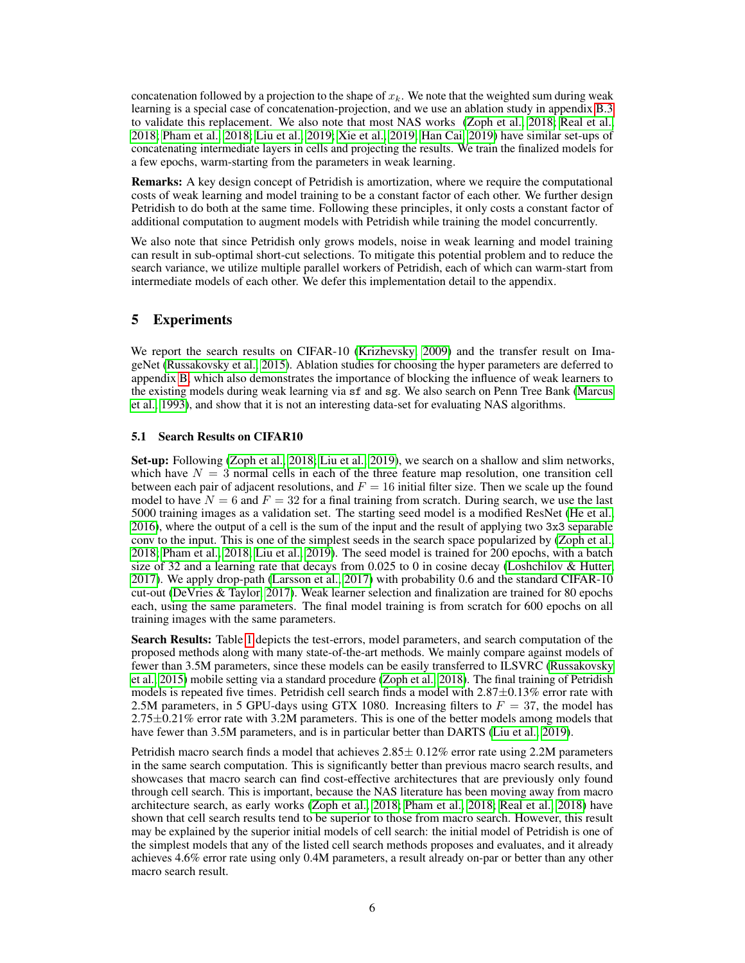concatenation followed by a projection to the shape of  $x_k$ . We note that the weighted sum during weak learning is a special case of concatenation-projection, and we use an ablation study in appendix B.3 to validate this replacement. We also note that most NAS works (Zoph et al., 2018; Real et al., 2018; Pham et al., 2018; Liu et al., 2019; Xie et al., 2019; Han Cai, 2019) have similar set-ups of concatenating intermediate layers in cells and projecting the results. We train the finalized models for a few epochs, warm-starting from the parameters in weak learning.

Remarks: A key design concept of Petridish is amortization, where we require the computational costs of weak learning and model training to be a constant factor of each other. We further design Petridish to do both at the same time. Following these principles, it only costs a constant factor of additional computation to augment models with Petridish while training the model concurrently.

We also note that since Petridish only grows models, noise in weak learning and model training can result in sub-optimal short-cut selections. To mitigate this potential problem and to reduce the search variance, we utilize multiple parallel workers of Petridish, each of which can warm-start from intermediate models of each other. We defer this implementation detail to the appendix.

# 5 Experiments

We report the search results on CIFAR-10 (Krizhevsky, 2009) and the transfer result on ImageNet (Russakovsky et al., 2015). Ablation studies for choosing the hyper parameters are deferred to appendix B, which also demonstrates the importance of blocking the influence of weak learners to the existing models during weak learning via sf and sg. We also search on Penn Tree Bank (Marcus et al., 1993), and show that it is not an interesting data-set for evaluating NAS algorithms.

### 5.1 Search Results on CIFAR10

Set-up: Following (Zoph et al., 2018; Liu et al., 2019), we search on a shallow and slim networks, which have  $N = 3$  normal cells in each of the three feature map resolution, one transition cell between each pair of adjacent resolutions, and  $F = 16$  initial filter size. Then we scale up the found model to have  $N = 6$  and  $F = 32$  for a final training from scratch. During search, we use the last 5000 training images as a validation set. The starting seed model is a modified ResNet (He et al., 2016), where the output of a cell is the sum of the input and the result of applying two 3x3 separable conv to the input. This is one of the simplest seeds in the search space popularized by (Zoph et al., 2018; Pham et al., 2018; Liu et al., 2019). The seed model is trained for 200 epochs, with a batch size of 32 and a learning rate that decays from 0.025 to 0 in cosine decay (Loshchilov & Hutter, 2017). We apply drop-path (Larsson et al., 2017) with probability 0.6 and the standard CIFAR-10 cut-out (DeVries & Taylor, 2017). Weak learner selection and finalization are trained for 80 epochs each, using the same parameters. The final model training is from scratch for 600 epochs on all training images with the same parameters.

Search Results: Table 1 depicts the test-errors, model parameters, and search computation of the proposed methods along with many state-of-the-art methods. We mainly compare against models of fewer than 3.5M parameters, since these models can be easily transferred to ILSVRC (Russakovsky et al., 2015) mobile setting via a standard procedure (Zoph et al., 2018). The final training of Petridish models is repeated five times. Petridish cell search finds a model with 2.87±0.13% error rate with 2.5M parameters, in 5 GPU-days using GTX 1080. Increasing filters to  $F = 37$ , the model has  $2.75\pm0.21\%$  error rate with 3.2M parameters. This is one of the better models among models that have fewer than 3.5M parameters, and is in particular better than DARTS (Liu et al., 2019).

Petridish macro search finds a model that achieves  $2.85 \pm 0.12\%$  error rate using 2.2M parameters in the same search computation. This is significantly better than previous macro search results, and showcases that macro search can find cost-effective architectures that are previously only found through cell search. This is important, because the NAS literature has been moving away from macro architecture search, as early works (Zoph et al., 2018; Pham et al., 2018; Real et al., 2018) have shown that cell search results tend to be superior to those from macro search. However, this result may be explained by the superior initial models of cell search: the initial model of Petridish is one of the simplest models that any of the listed cell search methods proposes and evaluates, and it already achieves 4.6% error rate using only 0.4M parameters, a result already on-par or better than any other macro search result.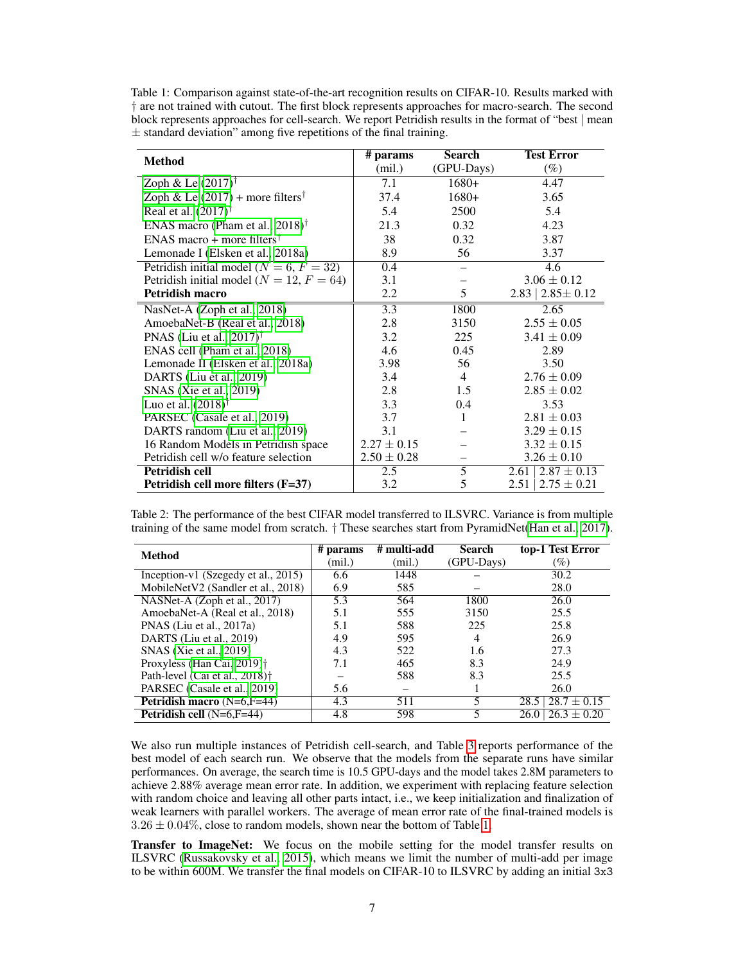Table 1: Comparison against state-of-the-art recognition results on CIFAR-10. Results marked with † are not trained with cutout. The first block represents approaches for macro-search. The second block represents approaches for cell-search. We report Petridish results in the format of "best | mean  $\pm$  standard deviation" among five repetitions of the final training.

| <b>Method</b>                                  | # params         | <b>Search</b>  | <b>Test Error</b>         |
|------------------------------------------------|------------------|----------------|---------------------------|
|                                                | (mil.)           | (GPU-Days)     | $(\%)$                    |
| Zoph & Le $(2017)^{\dagger}$                   | 7.1              | $1680+$        | 4.47                      |
| Zoph & Le $(2017)$ + more filters <sup>†</sup> | 37.4             | $1680+$        | 3.65                      |
| Real et al. $(2017)^{\dagger}$                 | 5.4              | 2500           | 5.4                       |
| ENAS macro (Pham et al., $2018$ ) <sup>†</sup> | 21.3             | 0.32           | 4.23                      |
| ENAS macro + more filters <sup>†</sup>         | 38               | 0.32           | 3.87                      |
| Lemonade I (Elsken et al., 2018a)              | 8.9              | 56             | 3.37                      |
| Petridish initial model ( $N = 6, F = 32$ )    | 0.4              |                | 4.6                       |
| Petridish initial model ( $N = 12, F = 64$ )   | 3.1              |                | $3.06 \pm 0.12$           |
| Petridish macro                                | 2.2              | 5              | $2.83 \mid 2.85 \pm 0.12$ |
| NasNet-A (Zoph et al., 2018)                   | $\overline{3.3}$ | 1800           | 2.65                      |
| AmoebaNet-B (Real et al., 2018)                | 2.8              | 3150           | $2.55 \pm 0.05$           |
| PNAS (Liu et al., $2017$ ) <sup>†</sup>        | 3.2              | 225            | $3.41 \pm 0.09$           |
| ENAS cell (Pham et al., 2018)                  | 4.6              | 0.45           | 2.89                      |
| Lemonade II (Elsken et al., 2018a)             | 3.98             | 56             | 3.50                      |
| DARTS (Liu et al., 2019)                       | 3.4              | $\overline{4}$ | $2.76 \pm 0.09$           |
| SNAS (Xie et al., 2019)                        | 2.8              | 1.5            | $2.85 \pm 0.02$           |
| Luo et al. $(2018)^{\dagger}$                  | 3.3              | 0.4            | 3.53                      |
| PARSEC (Casale et al., 2019)                   | 3.7              | 1              | $2.81 \pm 0.03$           |
| DARTS random (Liu et al., 2019)                | 3.1              |                | $3.29 \pm 0.15$           |
| 16 Random Models in Petridish space            | $2.27 \pm 0.15$  |                | $3.32 \pm 0.15$           |
| Petridish cell w/o feature selection           | $2.50 \pm 0.28$  |                | $3.26 \pm 0.10$           |
| Petridish cell                                 | 2.5              | 5              | $2.87 \pm 0.13$<br>2.61   |
| Petridish cell more filters (F=37)             | 3.2              | 5              | $2.75 \pm 0.21$<br>2.51   |

Table 2: The performance of the best CIFAR model transferred to ILSVRC. Variance is from multiple training of the same model from scratch. † These searches start from PyramidNet(Han et al., 2017).

| Method                                     | $#$ params | # multi-add | <b>Search</b> | top-1 Test Error          |
|--------------------------------------------|------------|-------------|---------------|---------------------------|
|                                            | (mil.)     | (mil.)      | (GPU-Days)    | $(\%)$                    |
| Inception-v1 (Szegedy et al., 2015)        | 6.6        | 1448        |               | 30.2                      |
| MobileNetV2 (Sandler et al., 2018)         | 6.9        | 585         |               | 28.0                      |
| NASNet-A (Zoph et al., 2017)               | 5.3        | 564         | 1800          | 26.0                      |
| AmoebaNet-A (Real et al., 2018)            | 5.1        | 555         | 3150          | 25.5                      |
| PNAS (Liu et al., 2017a)                   | 5.1        | 588         | 225           | 25.8                      |
| DARTS (Liu et al., 2019)                   | 4.9        | 595         | 4             | 26.9                      |
| SNAS (Xie et al., 2019)                    | 4.3        | 522         | 1.6           | 27.3                      |
| Proxyless (Han Cai, 2019) <sup>†</sup>     | 7.1        | 465         | 8.3           | 24.9                      |
| Path-level (Cai et al., 2018) <sup>†</sup> |            | 588         | 8.3           | 25.5                      |
| PARSEC (Casale et al., 2019)               | 5.6        |             |               | 26.0                      |
| <b>Petridish macro</b> $(N=6, F=44)$       | 4.3        | 511         | 5             | $28.5 \mid 28.7 \pm 0.15$ |
| Petridish cell $(N=6, F=44)$               | 4.8        | 598         |               | $26.3 \pm 0.20$<br>26.0   |

We also run multiple instances of Petridish cell-search, and Table 3 reports performance of the best model of each search run. We observe that the models from the separate runs have similar performances. On average, the search time is 10.5 GPU-days and the model takes 2.8M parameters to achieve 2.88% average mean error rate. In addition, we experiment with replacing feature selection with random choice and leaving all other parts intact, i.e., we keep initialization and finalization of weak learners with parallel workers. The average of mean error rate of the final-trained models is  $3.26 \pm 0.04\%$ , close to random models, shown near the bottom of Table 1.

Transfer to ImageNet: We focus on the mobile setting for the model transfer results on ILSVRC (Russakovsky et al., 2015), which means we limit the number of multi-add per image to be within 600M. We transfer the final models on CIFAR-10 to ILSVRC by adding an initial 3x3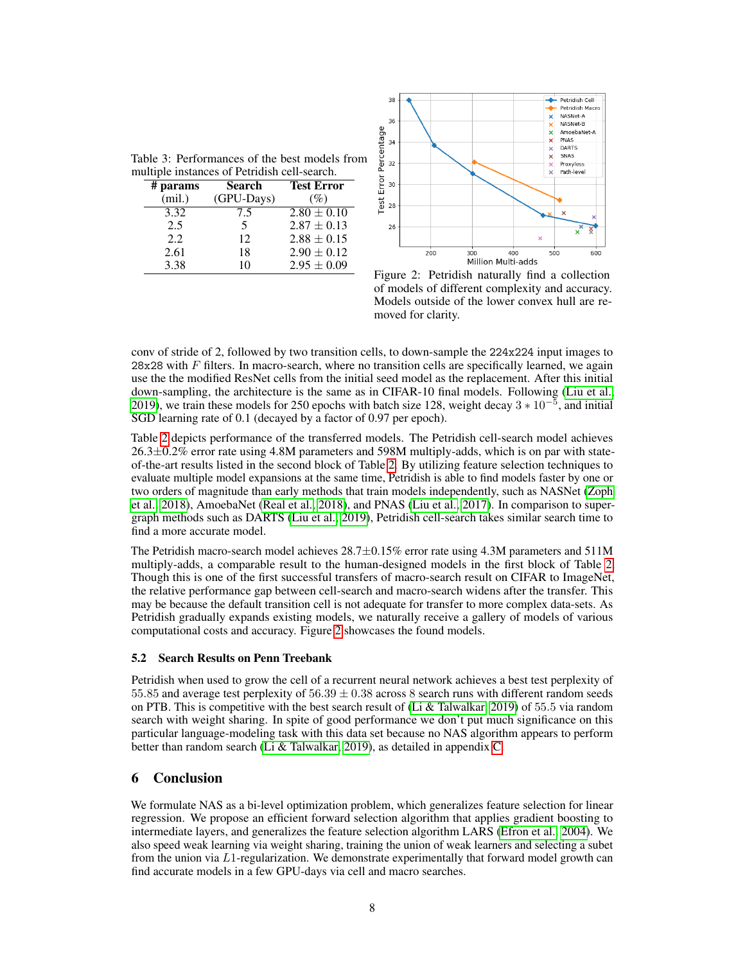| multiple instances of Petridish cell-search. |            |               |                   |  |  |
|----------------------------------------------|------------|---------------|-------------------|--|--|
|                                              | $#$ params | <b>Search</b> | <b>Test Error</b> |  |  |
|                                              | (mil.)     | (GPU-Days)    | (%)               |  |  |
|                                              | 3.32       | 7.5           | $2.80 \pm 0.10$   |  |  |
|                                              | 2.5        | 5             | $2.87 \pm 0.13$   |  |  |
|                                              | 2.2.       | 12            | $2.88 \pm 0.15$   |  |  |
|                                              | 2.61       | 18            | $2.90 \pm 0.12$   |  |  |
|                                              | 3.38       | 10            | $2.95 \pm 0.09$   |  |  |



Figure 2: Petridish naturally find a collection of models of different complexity and accuracy. Models outside of the lower convex hull are removed for clarity.

conv of stride of 2, followed by two transition cells, to down-sample the 224x224 input images to  $28x28$  with F filters. In macro-search, where no transition cells are specifically learned, we again use the the modified ResNet cells from the initial seed model as the replacement. After this initial down-sampling, the architecture is the same as in CIFAR-10 final models. Following (Liu et al., 2019), we train these models for 250 epochs with batch size 128, weight decay  $3 * 10^{-5}$ , and initial SGD learning rate of 0.1 (decayed by a factor of 0.97 per epoch).

Table 2 depicts performance of the transferred models. The Petridish cell-search model achieves  $26.3\pm0.2\%$  error rate using 4.8M parameters and 598M multiply-adds, which is on par with stateof-the-art results listed in the second block of Table 2. By utilizing feature selection techniques to evaluate multiple model expansions at the same time, Petridish is able to find models faster by one or two orders of magnitude than early methods that train models independently, such as NASNet (Zoph et al., 2018), AmoebaNet (Real et al., 2018), and PNAS (Liu et al., 2017). In comparison to supergraph methods such as DARTS (Liu et al., 2019), Petridish cell-search takes similar search time to find a more accurate model.

The Petridish macro-search model achieves  $28.7\pm0.15\%$  error rate using 4.3M parameters and 511M multiply-adds, a comparable result to the human-designed models in the first block of Table 2. Though this is one of the first successful transfers of macro-search result on CIFAR to ImageNet, the relative performance gap between cell-search and macro-search widens after the transfer. This may be because the default transition cell is not adequate for transfer to more complex data-sets. As Petridish gradually expands existing models, we naturally receive a gallery of models of various computational costs and accuracy. Figure 2 showcases the found models.

### 5.2 Search Results on Penn Treebank

Petridish when used to grow the cell of a recurrent neural network achieves a best test perplexity of 55.85 and average test perplexity of  $56.39 \pm 0.38$  across 8 search runs with different random seeds on PTB. This is competitive with the best search result of (Li & Talwalkar, 2019) of 55.5 via random search with weight sharing. In spite of good performance we don't put much significance on this particular language-modeling task with this data set because no NAS algorithm appears to perform better than random search (Li & Talwalkar, 2019), as detailed in appendix C.

# 6 Conclusion

We formulate NAS as a bi-level optimization problem, which generalizes feature selection for linear regression. We propose an efficient forward selection algorithm that applies gradient boosting to intermediate layers, and generalizes the feature selection algorithm LARS (Efron et al., 2004). We also speed weak learning via weight sharing, training the union of weak learners and selecting a subet from the union via L1-regularization. We demonstrate experimentally that forward model growth can find accurate models in a few GPU-days via cell and macro searches.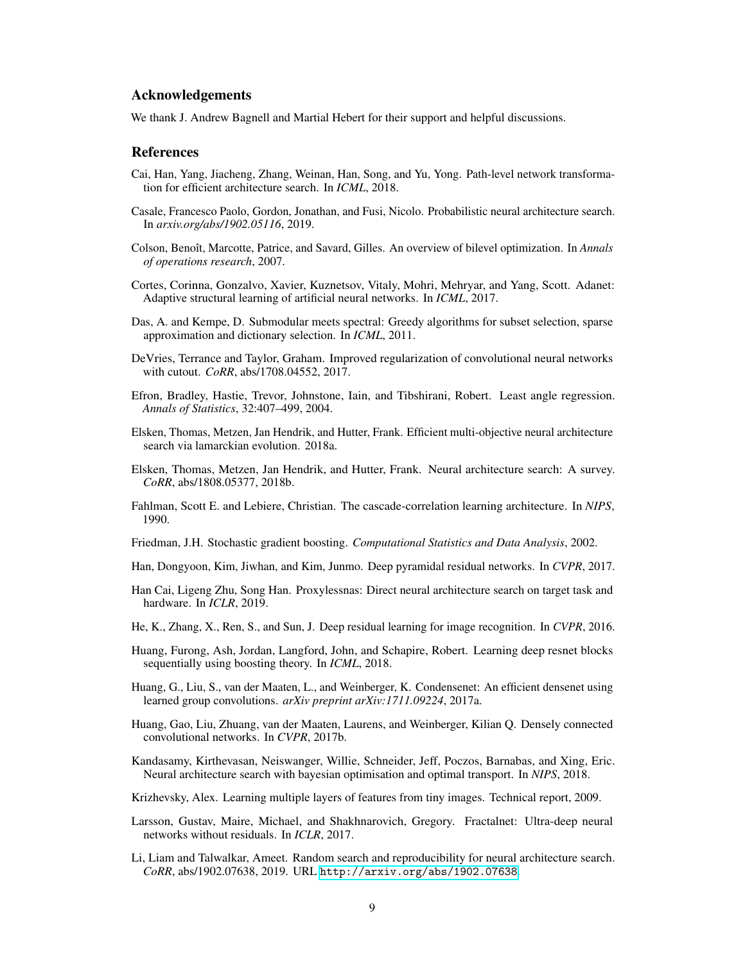### Acknowledgements

We thank J. Andrew Bagnell and Martial Hebert for their support and helpful discussions.

#### References

- Cai, Han, Yang, Jiacheng, Zhang, Weinan, Han, Song, and Yu, Yong. Path-level network transformation for efficient architecture search. In *ICML*, 2018.
- Casale, Francesco Paolo, Gordon, Jonathan, and Fusi, Nicolo. Probabilistic neural architecture search. In *arxiv.org/abs/1902.05116*, 2019.
- Colson, Benoît, Marcotte, Patrice, and Savard, Gilles. An overview of bilevel optimization. In *Annals of operations research*, 2007.
- Cortes, Corinna, Gonzalvo, Xavier, Kuznetsov, Vitaly, Mohri, Mehryar, and Yang, Scott. Adanet: Adaptive structural learning of artificial neural networks. In *ICML*, 2017.
- Das, A. and Kempe, D. Submodular meets spectral: Greedy algorithms for subset selection, sparse approximation and dictionary selection. In *ICML*, 2011.
- DeVries, Terrance and Taylor, Graham. Improved regularization of convolutional neural networks with cutout. *CoRR*, abs/1708.04552, 2017.
- Efron, Bradley, Hastie, Trevor, Johnstone, Iain, and Tibshirani, Robert. Least angle regression. *Annals of Statistics*, 32:407–499, 2004.
- Elsken, Thomas, Metzen, Jan Hendrik, and Hutter, Frank. Efficient multi-objective neural architecture search via lamarckian evolution. 2018a.
- Elsken, Thomas, Metzen, Jan Hendrik, and Hutter, Frank. Neural architecture search: A survey. *CoRR*, abs/1808.05377, 2018b.
- Fahlman, Scott E. and Lebiere, Christian. The cascade-correlation learning architecture. In *NIPS*, 1990.
- Friedman, J.H. Stochastic gradient boosting. *Computational Statistics and Data Analysis*, 2002.
- Han, Dongyoon, Kim, Jiwhan, and Kim, Junmo. Deep pyramidal residual networks. In *CVPR*, 2017.
- Han Cai, Ligeng Zhu, Song Han. Proxylessnas: Direct neural architecture search on target task and hardware. In *ICLR*, 2019.
- He, K., Zhang, X., Ren, S., and Sun, J. Deep residual learning for image recognition. In *CVPR*, 2016.
- Huang, Furong, Ash, Jordan, Langford, John, and Schapire, Robert. Learning deep resnet blocks sequentially using boosting theory. In *ICML*, 2018.
- Huang, G., Liu, S., van der Maaten, L., and Weinberger, K. Condensenet: An efficient densenet using learned group convolutions. *arXiv preprint arXiv:1711.09224*, 2017a.
- Huang, Gao, Liu, Zhuang, van der Maaten, Laurens, and Weinberger, Kilian Q. Densely connected convolutional networks. In *CVPR*, 2017b.
- Kandasamy, Kirthevasan, Neiswanger, Willie, Schneider, Jeff, Poczos, Barnabas, and Xing, Eric. Neural architecture search with bayesian optimisation and optimal transport. In *NIPS*, 2018.
- Krizhevsky, Alex. Learning multiple layers of features from tiny images. Technical report, 2009.
- Larsson, Gustav, Maire, Michael, and Shakhnarovich, Gregory. Fractalnet: Ultra-deep neural networks without residuals. In *ICLR*, 2017.
- Li, Liam and Talwalkar, Ameet. Random search and reproducibility for neural architecture search. *CoRR*, abs/1902.07638, 2019. URL <http://arxiv.org/abs/1902.07638>.